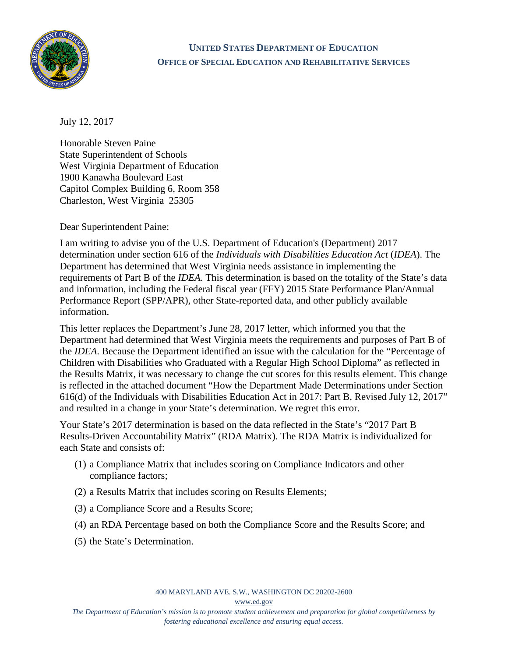

## **UNITED STATES DEPARTMENT OF EDUCATION OFFICE OF SPECIAL EDUCATION AND REHABILITATIVE SERVICES**

July 12, 2017

Honorable Steven Paine State Superintendent of Schools West Virginia Department of Education 1900 Kanawha Boulevard East Capitol Complex Building 6, Room 358 Charleston, West Virginia 25305

Dear Superintendent Paine:

I am writing to advise you of the U.S. Department of Education's (Department) 2017 determination under section 616 of the *Individuals with Disabilities Education Act* (*IDEA*). The Department has determined that West Virginia needs assistance in implementing the requirements of Part B of the *IDEA*. This determination is based on the totality of the State's data and information, including the Federal fiscal year (FFY) 2015 State Performance Plan/Annual Performance Report (SPP/APR), other State-reported data, and other publicly available information.

This letter replaces the Department's June 28, 2017 letter, which informed you that the Department had determined that West Virginia meets the requirements and purposes of Part B of the *IDEA*. Because the Department identified an issue with the calculation for the "Percentage of Children with Disabilities who Graduated with a Regular High School Diploma" as reflected in the Results Matrix, it was necessary to change the cut scores for this results element. This change is reflected in the attached document "How the Department Made Determinations under Section 616(d) of the Individuals with Disabilities Education Act in 2017: Part B, Revised July 12, 2017" and resulted in a change in your State's determination. We regret this error.

Your State's 2017 determination is based on the data reflected in the State's "2017 Part B Results-Driven Accountability Matrix" (RDA Matrix). The RDA Matrix is individualized for each State and consists of:

- (1) a Compliance Matrix that includes scoring on Compliance Indicators and other compliance factors;
- (2) a Results Matrix that includes scoring on Results Elements;
- (3) a Compliance Score and a Results Score;
- (4) an RDA Percentage based on both the Compliance Score and the Results Score; and
- (5) the State's Determination.

400 MARYLAND AVE. S.W., WASHINGTON DC 20202-2600

[www.ed.gov](http://www.ed.gov/)

*The Department of Education's mission is to promote student achievement and preparation for global competitiveness by fostering educational excellence and ensuring equal access.*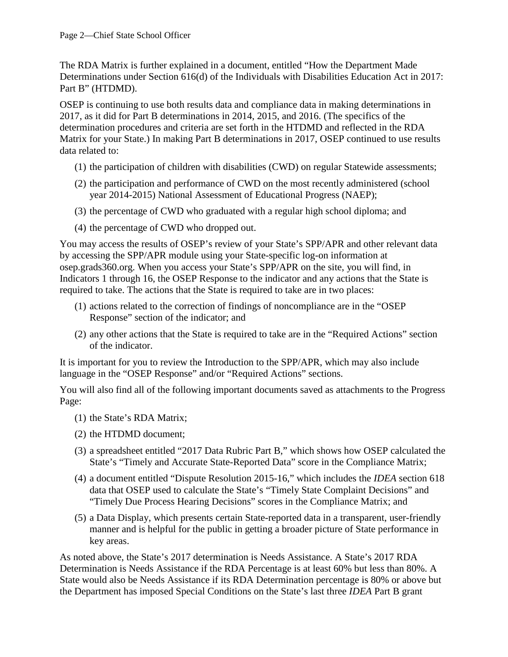The RDA Matrix is further explained in a document, entitled "How the Department Made Determinations under Section 616(d) of the Individuals with Disabilities Education Act in 2017: Part B" (HTDMD).

OSEP is continuing to use both results data and compliance data in making determinations in 2017, as it did for Part B determinations in 2014, 2015, and 2016. (The specifics of the determination procedures and criteria are set forth in the HTDMD and reflected in the RDA Matrix for your State.) In making Part B determinations in 2017, OSEP continued to use results data related to:

- (1) the participation of children with disabilities (CWD) on regular Statewide assessments;
- (2) the participation and performance of CWD on the most recently administered (school year 2014-2015) National Assessment of Educational Progress (NAEP);
- (3) the percentage of CWD who graduated with a regular high school diploma; and
- (4) the percentage of CWD who dropped out.

You may access the results of OSEP's review of your State's SPP/APR and other relevant data by accessing the SPP/APR module using your State-specific log-on information at osep.grads360.org. When you access your State's SPP/APR on the site, you will find, in Indicators 1 through 16, the OSEP Response to the indicator and any actions that the State is required to take. The actions that the State is required to take are in two places:

- (1) actions related to the correction of findings of noncompliance are in the "OSEP Response" section of the indicator; and
- (2) any other actions that the State is required to take are in the "Required Actions" section of the indicator.

It is important for you to review the Introduction to the SPP/APR, which may also include language in the "OSEP Response" and/or "Required Actions" sections.

You will also find all of the following important documents saved as attachments to the Progress Page:

- (1) the State's RDA Matrix;
- (2) the HTDMD document;
- (3) a spreadsheet entitled "2017 Data Rubric Part B," which shows how OSEP calculated the State's "Timely and Accurate State-Reported Data" score in the Compliance Matrix;
- (4) a document entitled "Dispute Resolution 2015-16," which includes the *IDEA* section 618 data that OSEP used to calculate the State's "Timely State Complaint Decisions" and "Timely Due Process Hearing Decisions" scores in the Compliance Matrix; and
- (5) a Data Display, which presents certain State-reported data in a transparent, user-friendly manner and is helpful for the public in getting a broader picture of State performance in key areas.

As noted above, the State's 2017 determination is Needs Assistance. A State's 2017 RDA Determination is Needs Assistance if the RDA Percentage is at least 60% but less than 80%. A State would also be Needs Assistance if its RDA Determination percentage is 80% or above but the Department has imposed Special Conditions on the State's last three *IDEA* Part B grant